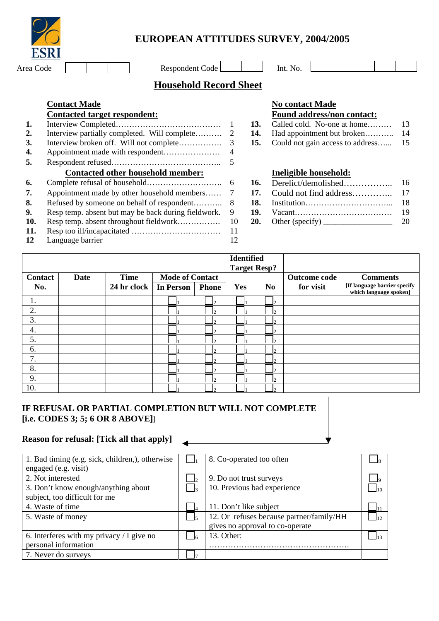|           | <b>EUROPEAN ATTITUDES SURVE</b> |  |
|-----------|---------------------------------|--|
| Area Code | Respondent Code                 |  |

# **EUROPEAN ATTITUDES SURVEY, 2004/2005**

| $-$ |   | . |  |  |  | $\mathbf{r}$ $\alpha$ |  |
|-----|---|---|--|--|--|-----------------------|--|
|     |   |   |  |  |  |                       |  |
|     | . | . |  |  |  |                       |  |

## **Household Record Sheet**

|               | <b>Contact Made</b>                                  |    |     | <b>No contact Made</b>                                                           |    |
|---------------|------------------------------------------------------|----|-----|----------------------------------------------------------------------------------|----|
|               | <b>Contacted target respondent:</b>                  |    |     | <b>Found address/non contact:</b>                                                |    |
| 1.            |                                                      |    | 13. | Called cold. No-one at home                                                      | 13 |
| <sup>2.</sup> | Interview partially completed. Will complete         | 2  | 14. | Had appointment but broken                                                       | 14 |
| <b>3.</b>     |                                                      | 3  | 15. | Could not gain access to address                                                 | 15 |
| 4.            |                                                      | 4  |     |                                                                                  |    |
| 5.            |                                                      | 5  |     |                                                                                  |    |
|               | <b>Contacted other household member:</b>             |    |     | Ineligible household:                                                            |    |
| 6.            |                                                      |    | 16. | Derelict/demolished                                                              | 16 |
| 7.            | Appointment made by other household members          |    | 17. | Could not find address                                                           | 17 |
| 8.            | Refused by someone on behalf of respondent           | 8  | 18. |                                                                                  | 18 |
| 9.            | Resp temp. absent but may be back during field work. | 9  | 19. |                                                                                  | 19 |
| <b>10.</b>    |                                                      | 10 | 20. | Other (specify) $\frac{1}{\sqrt{1-\frac{1}{2}}}\left  \frac{f(x)}{f(x)} \right $ | 20 |
| 11.           |                                                      | 11 |     |                                                                                  |    |
| 12            | Language barrier                                     | 12 |     |                                                                                  |    |

#### **No contact Made Found address/non contact:**

| T ound addition non contact.            |    |  |  |  |  |  |
|-----------------------------------------|----|--|--|--|--|--|
| <b>13.</b> Called cold. No-one at home  | 13 |  |  |  |  |  |
|                                         |    |  |  |  |  |  |
| 15. Could not gain access to address 15 |    |  |  |  |  |  |

#### **Contacted other household member: Ineligible household:**

|                |             |             |                        |                | <b>Identified</b><br><b>Target Resp?</b> |                |                     |                                                        |
|----------------|-------------|-------------|------------------------|----------------|------------------------------------------|----------------|---------------------|--------------------------------------------------------|
| <b>Contact</b> | <b>Date</b> | <b>Time</b> | <b>Mode of Contact</b> |                |                                          |                | <b>Outcome code</b> | <b>Comments</b>                                        |
| No.            |             | 24 hr clock | <b>In Person</b>       | <b>Phone</b>   | Yes                                      | N <sub>0</sub> | for visit           | [If language barrier specify<br>which language spoken] |
|                |             |             |                        | $\overline{2}$ |                                          |                |                     |                                                        |
| 2.             |             |             |                        | $\mathcal{P}$  |                                          |                |                     |                                                        |
| 3.             |             |             |                        | $\bigcirc$     |                                          | ⌒              |                     |                                                        |
| 4.             |             |             |                        | $\overline{2}$ |                                          |                |                     |                                                        |
| 5.             |             |             |                        | $\mathcal{P}$  |                                          |                |                     |                                                        |
| 6.             |             |             |                        | $\sim$         |                                          |                |                     |                                                        |
| 7.             |             |             |                        | $\cap$         |                                          |                |                     |                                                        |
| 8.             |             |             |                        | $\sim$         |                                          |                |                     |                                                        |
| 9.             |             |             |                        | $\bigcirc$     |                                          | $\Delta$       |                     |                                                        |
| 10.            |             |             |                        | $\sim$         |                                          |                |                     |                                                        |

## **IF REFUSAL OR PARTIAL COMPLETION BUT WILL NOT COMPLETE [i.e. CODES 3; 5; 6 OR 8 ABOVE]**]

## **Reason for refusal: [Tick all that apply]**

| 1. Bad timing (e.g. sick, children,), otherwise | 8. Co-operated too often                 |     |
|-------------------------------------------------|------------------------------------------|-----|
| engaged (e.g. visit)                            |                                          |     |
| 2. Not interested                               | 9. Do not trust surveys                  |     |
| 3. Don't know enough/anything about             | 10. Previous bad experience              | 110 |
| subject, too difficult for me                   |                                          |     |
| 4. Waste of time                                | 11. Don't like subject                   |     |
| 5. Waste of money                               | 12. Or refuses because partner/family/HH | 12  |
|                                                 | gives no approval to co-operate          |     |
| 6. Interferes with my privacy $/$ I give no     | 13. Other:                               | 113 |
| personal information                            |                                          |     |
| 7. Never do surveys                             |                                          |     |